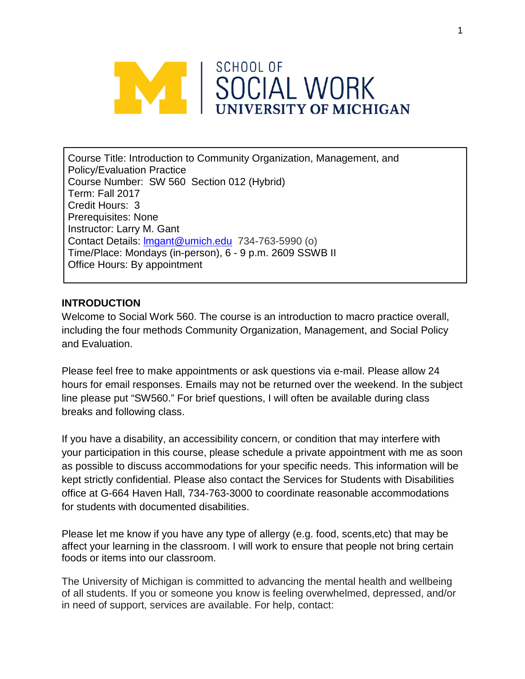

Course Title: Introduction to Community Organization, Management, and Policy/Evaluation Practice Course Number: SW 560 Section 012 (Hybrid) Term: Fall 2017 Credit Hours: 3 Prerequisites: None Instructor: Larry M. Gant Contact Details: [lmgant@umich.edu](mailto:lmgant@umich.edu) 734-763-5990 (o) Time/Place: Mondays (in-person), 6 - 9 p.m. 2609 SSWB II Office Hours: By appointment

#### **INTRODUCTION**

Welcome to Social Work 560. The course is an introduction to macro practice overall, including the four methods Community Organization, Management, and Social Policy and Evaluation.

Please feel free to make appointments or ask questions via e-mail. Please allow 24 hours for email responses. Emails may not be returned over the weekend. In the subject line please put "SW560." For brief questions, I will often be available during class breaks and following class.

If you have a disability, an accessibility concern, or condition that may interfere with your participation in this course, please schedule a private appointment with me as soon as possible to discuss accommodations for your specific needs. This information will be kept strictly confidential. Please also contact the Services for Students with Disabilities office at G-664 Haven Hall, 734-763-3000 to coordinate reasonable accommodations for students with documented disabilities.

Please let me know if you have any type of allergy (e.g. food, scents,etc) that may be affect your learning in the classroom. I will work to ensure that people not bring certain foods or items into our classroom.

The University of Michigan is committed to advancing the mental health and wellbeing of all students. If you or someone you know is feeling overwhelmed, depressed, and/or in need of support, services are available. For help, contact: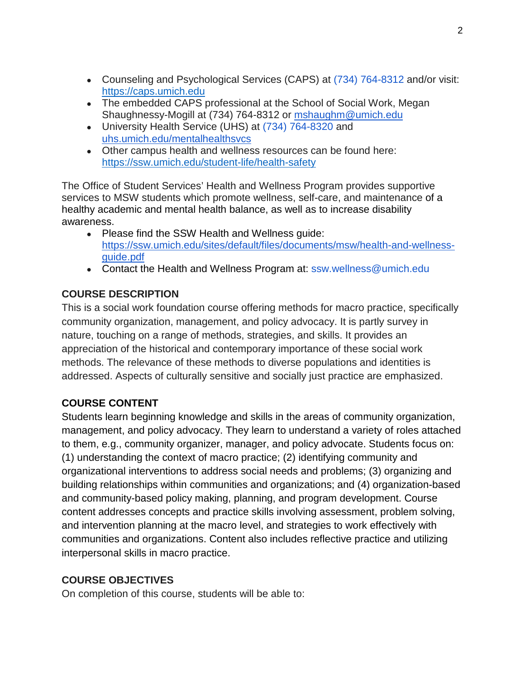- Counseling and Psychological Services (CAPS) at (734) 764-8312 and/or visit[:](https://caps.umich.edu/) [https://caps.umich.edu](https://caps.umich.edu/)
- The embedded CAPS professional at the School of Social Work, Megan Shaughnessy-Mogill at (734) 764-8312 or [mshaughm@umich.edu](mailto:mshaughm@umich.edu)
- University Health Service (UHS) at (734) 764-8320 an[d](https://www.uhs.umich.edu/mentalhealthsvcs) [uhs.umich.edu/mentalhealthsvcs](https://www.uhs.umich.edu/mentalhealthsvcs)
- Other campus health and wellness resources can be found here[:](https://ssw.umich.edu/student-life/health-safety) <https://ssw.umich.edu/student-life/health-safety>

The Office of Student Services' Health and Wellness Program provides supportive services to MSW students which promote wellness, self-care, and maintenance of a healthy academic and mental health balance, as well as to increase disability awareness.

- Please find the SSW Health and Wellness quide[:](https://ssw.umich.edu/sites/default/files/documents/msw/health-and-wellness-guide.pdf) [https://ssw.umich.edu/sites/default/files/documents/msw/health-and-wellness](https://ssw.umich.edu/sites/default/files/documents/msw/health-and-wellness-guide.pdf)[guide.pdf](https://ssw.umich.edu/sites/default/files/documents/msw/health-and-wellness-guide.pdf)
- Contact the Health and Wellness Program at: ssw.wellness@umich.edu

# **COURSE DESCRIPTION**

This is a social work foundation course offering methods for macro practice, specifically community organization, management, and policy advocacy. It is partly survey in nature, touching on a range of methods, strategies, and skills. It provides an appreciation of the historical and contemporary importance of these social work methods. The relevance of these methods to diverse populations and identities is addressed. Aspects of culturally sensitive and socially just practice are emphasized.

# **COURSE CONTENT**

Students learn beginning knowledge and skills in the areas of community organization, management, and policy advocacy. They learn to understand a variety of roles attached to them, e.g., community organizer, manager, and policy advocate. Students focus on: (1) understanding the context of macro practice; (2) identifying community and organizational interventions to address social needs and problems; (3) organizing and building relationships within communities and organizations; and (4) organization-based and community-based policy making, planning, and program development. Course content addresses concepts and practice skills involving assessment, problem solving, and intervention planning at the macro level, and strategies to work effectively with communities and organizations. Content also includes reflective practice and utilizing interpersonal skills in macro practice.

# **COURSE OBJECTIVES**

On completion of this course, students will be able to: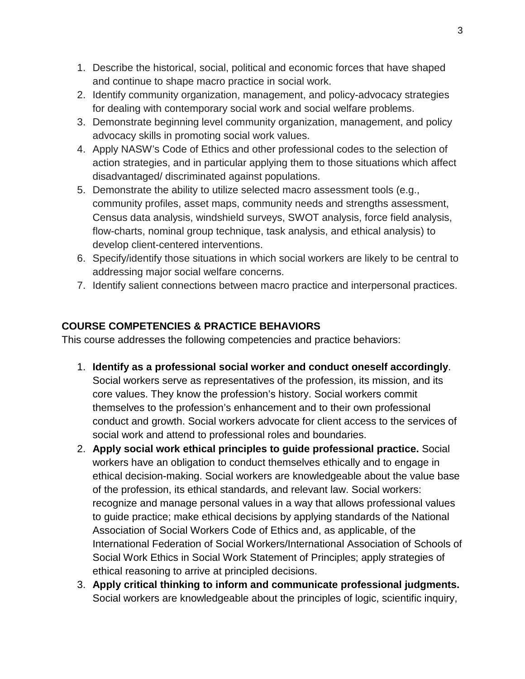- 1. Describe the historical, social, political and economic forces that have shaped and continue to shape macro practice in social work.
- 2. Identify community organization, management, and policy-advocacy strategies for dealing with contemporary social work and social welfare problems.
- 3. Demonstrate beginning level community organization, management, and policy advocacy skills in promoting social work values.
- 4. Apply NASW's Code of Ethics and other professional codes to the selection of action strategies, and in particular applying them to those situations which affect disadvantaged/ discriminated against populations.
- 5. Demonstrate the ability to utilize selected macro assessment tools (e.g., community profiles, asset maps, community needs and strengths assessment, Census data analysis, windshield surveys, SWOT analysis, force field analysis, flow-charts, nominal group technique, task analysis, and ethical analysis) to develop client-centered interventions.
- 6. Specify/identify those situations in which social workers are likely to be central to addressing major social welfare concerns.
- 7. Identify salient connections between macro practice and interpersonal practices.

## **COURSE COMPETENCIES & PRACTICE BEHAVIORS**

This course addresses the following competencies and practice behaviors:

- 1. **Identify as a professional social worker and conduct oneself accordingly**. Social workers serve as representatives of the profession, its mission, and its core values. They know the profession's history. Social workers commit themselves to the profession's enhancement and to their own professional conduct and growth. Social workers advocate for client access to the services of social work and attend to professional roles and boundaries.
- 2. **Apply social work ethical principles to guide professional practice.** Social workers have an obligation to conduct themselves ethically and to engage in ethical decision-making. Social workers are knowledgeable about the value base of the profession, its ethical standards, and relevant law. Social workers: recognize and manage personal values in a way that allows professional values to guide practice; make ethical decisions by applying standards of the National Association of Social Workers Code of Ethics and, as applicable, of the International Federation of Social Workers/International Association of Schools of Social Work Ethics in Social Work Statement of Principles; apply strategies of ethical reasoning to arrive at principled decisions.
- 3. **Apply critical thinking to inform and communicate professional judgments.**  Social workers are knowledgeable about the principles of logic, scientific inquiry,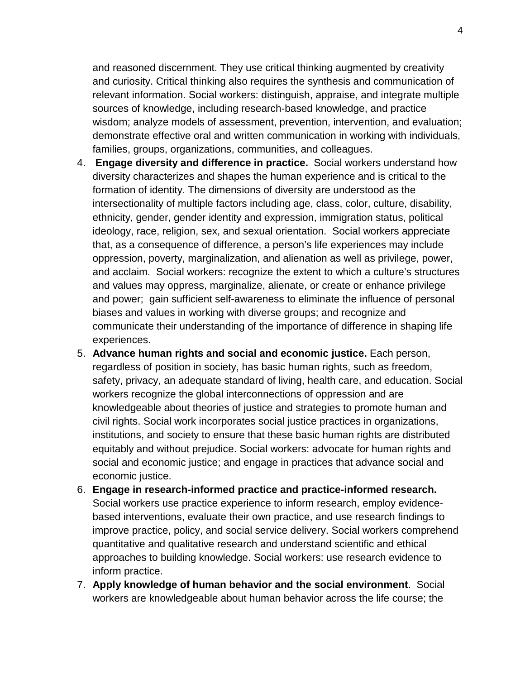and reasoned discernment. They use critical thinking augmented by creativity and curiosity. Critical thinking also requires the synthesis and communication of relevant information. Social workers: distinguish, appraise, and integrate multiple sources of knowledge, including research-based knowledge, and practice wisdom; analyze models of assessment, prevention, intervention, and evaluation; demonstrate effective oral and written communication in working with individuals, families, groups, organizations, communities, and colleagues.

- 4. **Engage diversity and difference in practice.** Social workers understand how diversity characterizes and shapes the human experience and is critical to the formation of identity. The dimensions of diversity are understood as the intersectionality of multiple factors including age, class, color, culture, disability, ethnicity, gender, gender identity and expression, immigration status, political ideology, race, religion, sex, and sexual orientation. Social workers appreciate that, as a consequence of difference, a person's life experiences may include oppression, poverty, marginalization, and alienation as well as privilege, power, and acclaim. Social workers: recognize the extent to which a culture's structures and values may oppress, marginalize, alienate, or create or enhance privilege and power; gain sufficient self-awareness to eliminate the influence of personal biases and values in working with diverse groups; and recognize and communicate their understanding of the importance of difference in shaping life experiences.
- 5. **Advance human rights and social and economic justice.** Each person, regardless of position in society, has basic human rights, such as freedom, safety, privacy, an adequate standard of living, health care, and education. Social workers recognize the global interconnections of oppression and are knowledgeable about theories of justice and strategies to promote human and civil rights. Social work incorporates social justice practices in organizations, institutions, and society to ensure that these basic human rights are distributed equitably and without prejudice. Social workers: advocate for human rights and social and economic justice; and engage in practices that advance social and economic justice.
- 6. **Engage in research-informed practice and practice-informed research.**  Social workers use practice experience to inform research, employ evidencebased interventions, evaluate their own practice, and use research findings to improve practice, policy, and social service delivery. Social workers comprehend quantitative and qualitative research and understand scientific and ethical approaches to building knowledge. Social workers: use research evidence to inform practice.
- 7. **Apply knowledge of human behavior and the social environment**. Social workers are knowledgeable about human behavior across the life course; the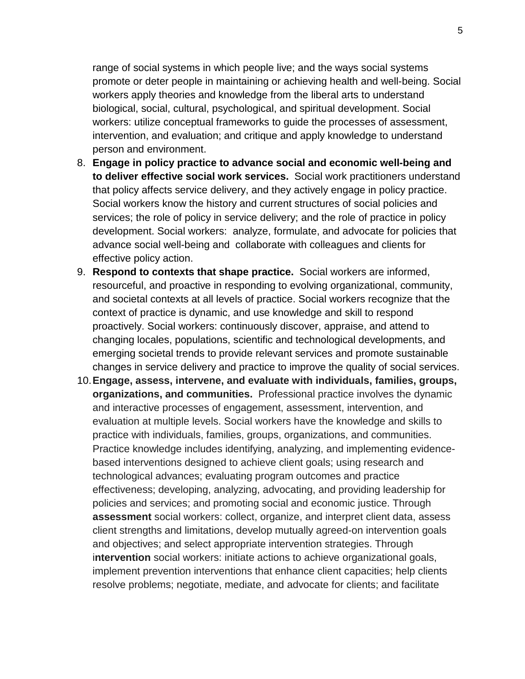range of social systems in which people live; and the ways social systems promote or deter people in maintaining or achieving health and well-being. Social workers apply theories and knowledge from the liberal arts to understand biological, social, cultural, psychological, and spiritual development. Social workers: utilize conceptual frameworks to guide the processes of assessment, intervention, and evaluation; and critique and apply knowledge to understand person and environment.

- 8. **Engage in policy practice to advance social and economic well-being and to deliver effective social work services.** Social work practitioners understand that policy affects service delivery, and they actively engage in policy practice. Social workers know the history and current structures of social policies and services; the role of policy in service delivery; and the role of practice in policy development. Social workers: analyze, formulate, and advocate for policies that advance social well-being and collaborate with colleagues and clients for effective policy action.
- 9. **Respond to contexts that shape practice.** Social workers are informed, resourceful, and proactive in responding to evolving organizational, community, and societal contexts at all levels of practice. Social workers recognize that the context of practice is dynamic, and use knowledge and skill to respond proactively. Social workers: continuously discover, appraise, and attend to changing locales, populations, scientific and technological developments, and emerging societal trends to provide relevant services and promote sustainable changes in service delivery and practice to improve the quality of social services.
- 10.**Engage, assess, intervene, and evaluate with individuals, families, groups, organizations, and communities.** Professional practice involves the dynamic and interactive processes of engagement, assessment, intervention, and evaluation at multiple levels. Social workers have the knowledge and skills to practice with individuals, families, groups, organizations, and communities. Practice knowledge includes identifying, analyzing, and implementing evidencebased interventions designed to achieve client goals; using research and technological advances; evaluating program outcomes and practice effectiveness; developing, analyzing, advocating, and providing leadership for policies and services; and promoting social and economic justice. Through **assessment** social workers: collect, organize, and interpret client data, assess client strengths and limitations, develop mutually agreed-on intervention goals and objectives; and select appropriate intervention strategies. Through i**ntervention** social workers: initiate actions to achieve organizational goals, implement prevention interventions that enhance client capacities; help clients resolve problems; negotiate, mediate, and advocate for clients; and facilitate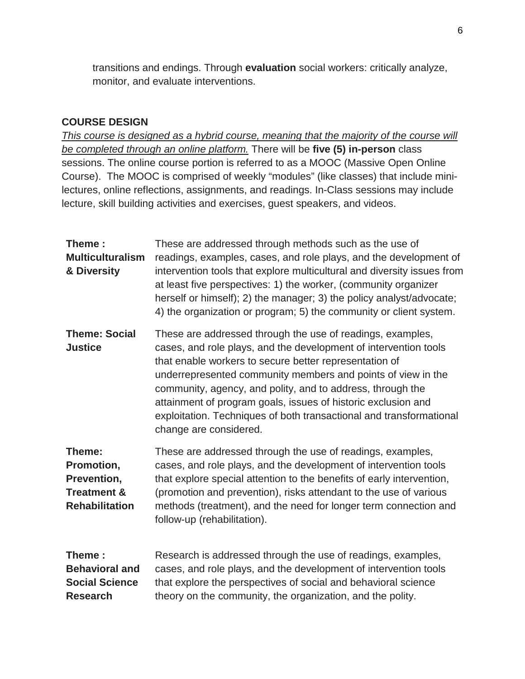transitions and endings. Through **evaluation** social workers: critically analyze, monitor, and evaluate interventions.

### **COURSE DESIGN**

*This course is designed as a hybrid course, meaning that the majority of the course will be completed through an online platform.* There will be **five (5) in-person** class sessions. The online course portion is referred to as a MOOC (Massive Open Online Course). The MOOC is comprised of weekly "modules" (like classes) that include minilectures, online reflections, assignments, and readings. In-Class sessions may include lecture, skill building activities and exercises, guest speakers, and videos.

| Theme:<br><b>Multiculturalism</b><br>& Diversity                                       | These are addressed through methods such as the use of<br>readings, examples, cases, and role plays, and the development of<br>intervention tools that explore multicultural and diversity issues from<br>at least five perspectives: 1) the worker, (community organizer<br>herself or himself); 2) the manager; 3) the policy analyst/advocate;<br>4) the organization or program; 5) the community or client system.                                                                  |
|----------------------------------------------------------------------------------------|------------------------------------------------------------------------------------------------------------------------------------------------------------------------------------------------------------------------------------------------------------------------------------------------------------------------------------------------------------------------------------------------------------------------------------------------------------------------------------------|
| <b>Theme: Social</b><br><b>Justice</b>                                                 | These are addressed through the use of readings, examples,<br>cases, and role plays, and the development of intervention tools<br>that enable workers to secure better representation of<br>underrepresented community members and points of view in the<br>community, agency, and polity, and to address, through the<br>attainment of program goals, issues of historic exclusion and<br>exploitation. Techniques of both transactional and transformational<br>change are considered. |
| Theme:<br>Promotion,<br>Prevention,<br><b>Treatment &amp;</b><br><b>Rehabilitation</b> | These are addressed through the use of readings, examples,<br>cases, and role plays, and the development of intervention tools<br>that explore special attention to the benefits of early intervention,<br>(promotion and prevention), risks attendant to the use of various<br>methods (treatment), and the need for longer term connection and<br>follow-up (rehabilitation).                                                                                                          |
| Theme:<br><b>Behavioral and</b><br><b>Social Science</b><br><b>Research</b>            | Research is addressed through the use of readings, examples,<br>cases, and role plays, and the development of intervention tools<br>that explore the perspectives of social and behavioral science<br>theory on the community, the organization, and the polity.                                                                                                                                                                                                                         |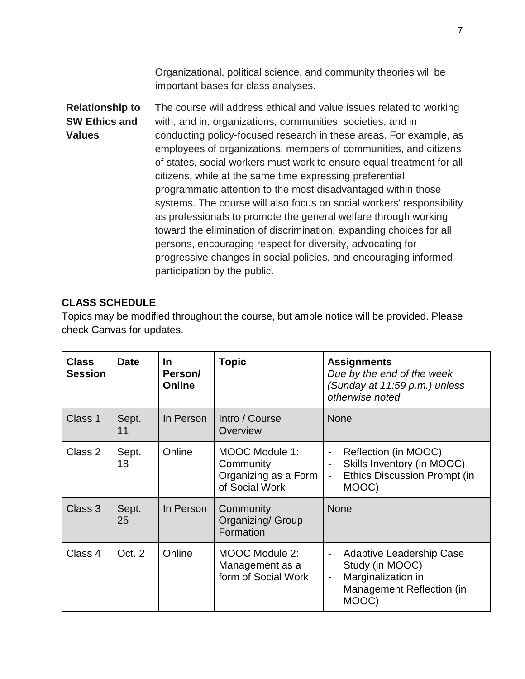Organizational, political science, and community theories will be important bases for class analyses.

#### **Relationship to SW Ethics and Values** The course will address ethical and value issues related to working with, and in, organizations, communities, societies, and in conducting policy-focused research in these areas. For example, as employees of organizations, members of communities, and citizens of states, social workers must work to ensure equal treatment for all citizens, while at the same time expressing preferential programmatic attention to the most disadvantaged within those systems. The course will also focus on social workers' responsibility as professionals to promote the general welfare through working toward the elimination of discrimination, expanding choices for all persons, encouraging respect for diversity, advocating for progressive changes in social policies, and encouraging informed participation by the public.

### **CLASS SCHEDULE**

Topics may be modified throughout the course, but ample notice will be provided. Please check Canvas for updates.

| <b>Class</b><br><b>Session</b> | <b>Date</b> | <b>In</b><br>Person/<br><b>Online</b> | Topic                                                                        | <b>Assignments</b><br>Due by the end of the week<br>(Sunday at 11:59 p.m.) unless<br>otherwise noted                           |
|--------------------------------|-------------|---------------------------------------|------------------------------------------------------------------------------|--------------------------------------------------------------------------------------------------------------------------------|
| Class 1                        | Sept.<br>11 | In Person                             | Intro / Course<br>Overview                                                   | <b>None</b>                                                                                                                    |
| Class 2                        | Sept.<br>18 | Online                                | <b>MOOC Module 1:</b><br>Community<br>Organizing as a Form<br>of Social Work | Reflection (in MOOC)<br>Skills Inventory (in MOOC)<br><b>Ethics Discussion Prompt (in</b><br>$\overline{\phantom{a}}$<br>MOOC) |
| Class 3                        | Sept.<br>25 | In Person                             | Community<br>Organizing/ Group<br>Formation                                  | <b>None</b>                                                                                                                    |
| Class 4                        | Oct. 2      | Online                                | <b>MOOC Module 2:</b><br>Management as a<br>form of Social Work              | Adaptive Leadership Case<br>Study (in MOOC)<br>Marginalization in<br>Management Reflection (in<br>MOOC)                        |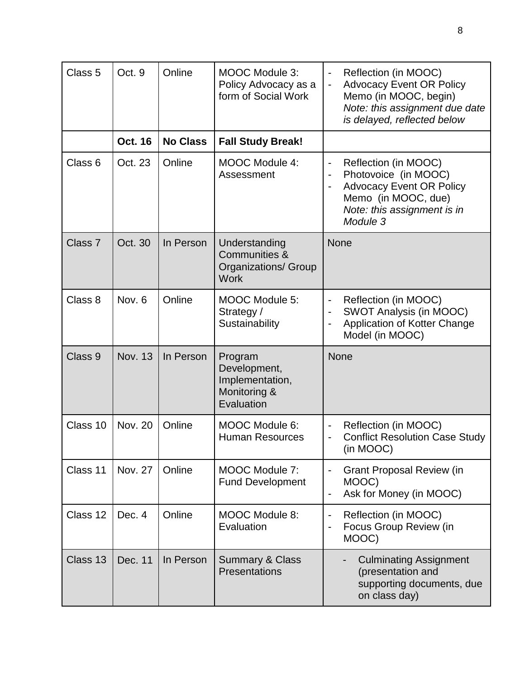| Class <sub>5</sub> | Oct. 9         | Online          | <b>MOOC Module 3:</b><br>Policy Advocacy as a<br>form of Social Work         | Reflection (in MOOC)<br>$\overline{\phantom{a}}$<br><b>Advocacy Event OR Policy</b><br>$\qquad \qquad \blacksquare$<br>Memo (in MOOC, begin)<br>Note: this assignment due date<br>is delayed, reflected below               |
|--------------------|----------------|-----------------|------------------------------------------------------------------------------|-----------------------------------------------------------------------------------------------------------------------------------------------------------------------------------------------------------------------------|
|                    | <b>Oct. 16</b> | <b>No Class</b> | <b>Fall Study Break!</b>                                                     |                                                                                                                                                                                                                             |
| Class 6            | Oct. 23        | Online          | MOOC Module 4:<br>Assessment                                                 | Reflection (in MOOC)<br>$\overline{a}$<br>Photovoice (in MOOC)<br>$\overline{\phantom{0}}$<br><b>Advocacy Event OR Policy</b><br>$\overline{\phantom{0}}$<br>Memo (in MOOC, due)<br>Note: this assignment is in<br>Module 3 |
| Class <sub>7</sub> | Oct. 30        | In Person       | Understanding<br>Communities &<br><b>Organizations/ Group</b><br><b>Work</b> | <b>None</b>                                                                                                                                                                                                                 |
| Class 8            | Nov. 6         | Online          | MOOC Module 5:<br>Strategy /<br>Sustainability                               | Reflection (in MOOC)<br>$\qquad \qquad \blacksquare$<br>SWOT Analysis (in MOOC)<br>$\overline{\phantom{0}}$<br>Application of Kotter Change<br>$\overline{a}$<br>Model (in MOOC)                                            |
| Class 9            | <b>Nov. 13</b> | In Person       | Program<br>Development,<br>Implementation,<br>Monitoring &<br>Evaluation     | <b>None</b>                                                                                                                                                                                                                 |
| Class 10           | <b>Nov. 20</b> | Online          | MOOC Module 6:<br><b>Human Resources</b>                                     | Reflection (in MOOC)<br><b>Conflict Resolution Case Study</b><br>$\overline{a}$<br>(in MOOC)                                                                                                                                |
| Class 11           | <b>Nov. 27</b> | Online          | MOOC Module 7:<br><b>Fund Development</b>                                    | <b>Grant Proposal Review (in</b><br>$\qquad \qquad \blacksquare$<br>MOOC)<br>Ask for Money (in MOOC)<br>$\qquad \qquad \blacksquare$                                                                                        |
| Class 12           | Dec. 4         | Online          | MOOC Module 8:<br>Evaluation                                                 | Reflection (in MOOC)<br>$\qquad \qquad \blacksquare$<br>Focus Group Review (in<br>$\overline{a}$<br>MOOC)                                                                                                                   |
| Class 13           | Dec. 11        | In Person       | <b>Summary &amp; Class</b><br>Presentations                                  | <b>Culminating Assignment</b><br>(presentation and<br>supporting documents, due<br>on class day)                                                                                                                            |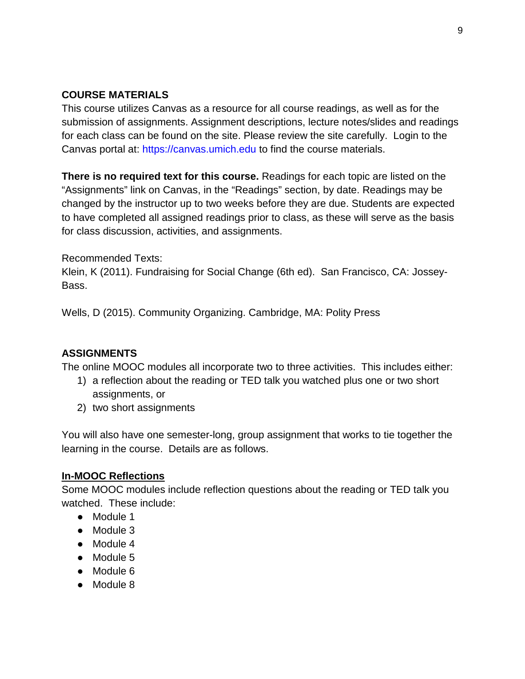### **COURSE MATERIALS**

This course utilizes Canvas as a resource for all course readings, as well as for the submission of assignments. Assignment descriptions, lecture notes/slides and readings for each class can be found on the site. Please review the site carefully. Login to the Canvas portal at: https://canvas.umich.edu to find the course materials.

**There is no required text for this course.** Readings for each topic are listed on the "Assignments" link on Canvas, in the "Readings" section, by date. Readings may be changed by the instructor up to two weeks before they are due. Students are expected to have completed all assigned readings prior to class, as these will serve as the basis for class discussion, activities, and assignments.

### Recommended Texts:

Klein, K (2011). Fundraising for Social Change (6th ed). San Francisco, CA: Jossey-Bass.

Wells, D (2015). Community Organizing. Cambridge, MA: Polity Press

### **ASSIGNMENTS**

The online MOOC modules all incorporate two to three activities. This includes either:

- 1) a reflection about the reading or TED talk you watched plus one or two short assignments, or
- 2) two short assignments

You will also have one semester-long, group assignment that works to tie together the learning in the course. Details are as follows.

### **In-MOOC Reflections**

Some MOOC modules include reflection questions about the reading or TED talk you watched. These include:

- Module 1
- Module 3
- Module 4
- Module 5
- Module 6
- Module 8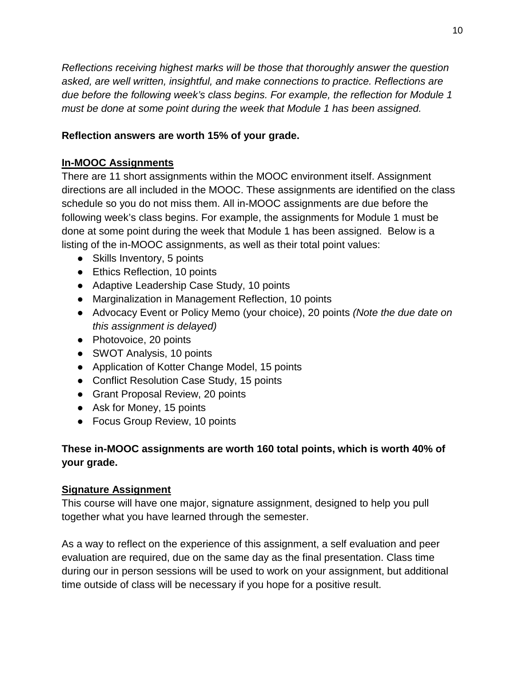*Reflections receiving highest marks will be those that thoroughly answer the question asked, are well written, insightful, and make connections to practice. Reflections are due before the following week's class begins. For example, the reflection for Module 1 must be done at some point during the week that Module 1 has been assigned.* 

### **Reflection answers are worth 15% of your grade.**

### **In-MOOC Assignments**

There are 11 short assignments within the MOOC environment itself. Assignment directions are all included in the MOOC. These assignments are identified on the class schedule so you do not miss them. All in-MOOC assignments are due before the following week's class begins. For example, the assignments for Module 1 must be done at some point during the week that Module 1 has been assigned. Below is a listing of the in-MOOC assignments, as well as their total point values:

- Skills Inventory, 5 points
- Ethics Reflection, 10 points
- Adaptive Leadership Case Study, 10 points
- Marginalization in Management Reflection, 10 points
- Advocacy Event or Policy Memo (your choice), 20 points *(Note the due date on this assignment is delayed)*
- Photovoice, 20 points
- SWOT Analysis, 10 points
- Application of Kotter Change Model, 15 points
- Conflict Resolution Case Study, 15 points
- Grant Proposal Review, 20 points
- Ask for Money, 15 points
- Focus Group Review, 10 points

## **These in-MOOC assignments are worth 160 total points, which is worth 40% of your grade.**

## **Signature Assignment**

This course will have one major, signature assignment, designed to help you pull together what you have learned through the semester.

As a way to reflect on the experience of this assignment, a self evaluation and peer evaluation are required, due on the same day as the final presentation. Class time during our in person sessions will be used to work on your assignment, but additional time outside of class will be necessary if you hope for a positive result.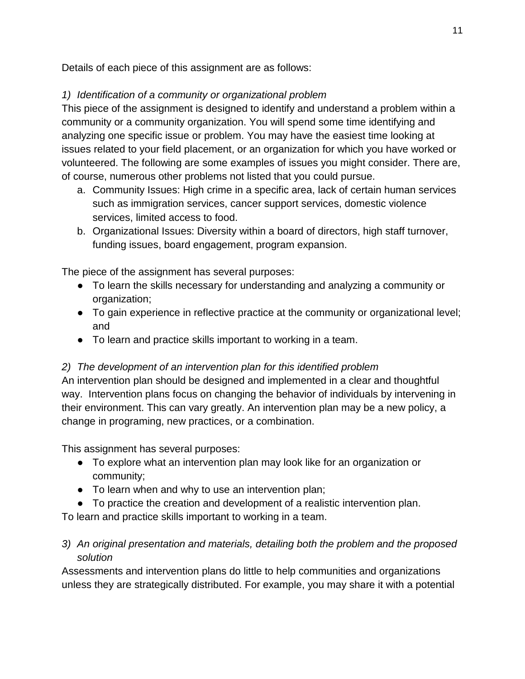Details of each piece of this assignment are as follows:

# *1) Identification of a community or organizational problem*

This piece of the assignment is designed to identify and understand a problem within a community or a community organization. You will spend some time identifying and analyzing one specific issue or problem. You may have the easiest time looking at issues related to your field placement, or an organization for which you have worked or volunteered. The following are some examples of issues you might consider. There are, of course, numerous other problems not listed that you could pursue.

- a. Community Issues: High crime in a specific area, lack of certain human services such as immigration services, cancer support services, domestic violence services, limited access to food.
- b. Organizational Issues: Diversity within a board of directors, high staff turnover, funding issues, board engagement, program expansion.

The piece of the assignment has several purposes:

- To learn the skills necessary for understanding and analyzing a community or organization;
- To gain experience in reflective practice at the community or organizational level; and
- To learn and practice skills important to working in a team.

## *2) The development of an intervention plan for this identified problem*

An intervention plan should be designed and implemented in a clear and thoughtful way. Intervention plans focus on changing the behavior of individuals by intervening in their environment. This can vary greatly. An intervention plan may be a new policy, a change in programing, new practices, or a combination.

This assignment has several purposes:

- To explore what an intervention plan may look like for an organization or community;
- To learn when and why to use an intervention plan;
- To practice the creation and development of a realistic intervention plan.

To learn and practice skills important to working in a team.

# *3) An original presentation and materials, detailing both the problem and the proposed solution*

Assessments and intervention plans do little to help communities and organizations unless they are strategically distributed. For example, you may share it with a potential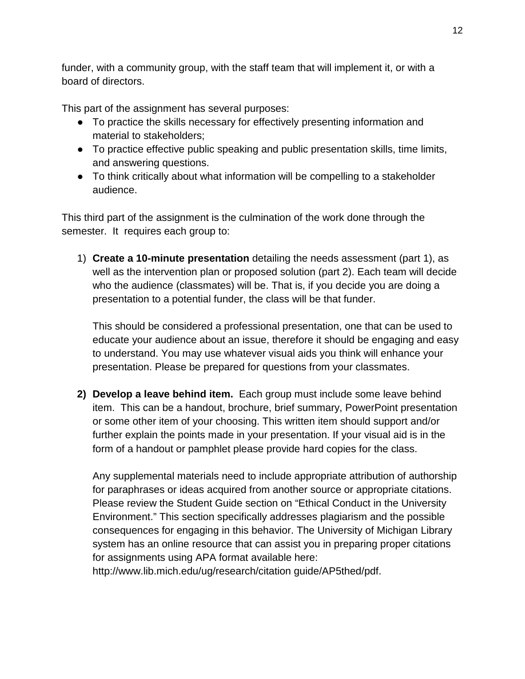funder, with a community group, with the staff team that will implement it, or with a board of directors.

This part of the assignment has several purposes:

- To practice the skills necessary for effectively presenting information and material to stakeholders;
- To practice effective public speaking and public presentation skills, time limits, and answering questions.
- To think critically about what information will be compelling to a stakeholder audience.

This third part of the assignment is the culmination of the work done through the semester. It requires each group to:

1) **Create a 10-minute presentation** detailing the needs assessment (part 1), as well as the intervention plan or proposed solution (part 2). Each team will decide who the audience (classmates) will be. That is, if you decide you are doing a presentation to a potential funder, the class will be that funder.

This should be considered a professional presentation, one that can be used to educate your audience about an issue, therefore it should be engaging and easy to understand. You may use whatever visual aids you think will enhance your presentation. Please be prepared for questions from your classmates.

**2) Develop a leave behind item.** Each group must include some leave behind item. This can be a handout, brochure, brief summary, PowerPoint presentation or some other item of your choosing. This written item should support and/or further explain the points made in your presentation. If your visual aid is in the form of a handout or pamphlet please provide hard copies for the class.

Any supplemental materials need to include appropriate attribution of authorship for paraphrases or ideas acquired from another source or appropriate citations. Please review the Student Guide section on "Ethical Conduct in the University Environment." This section specifically addresses plagiarism and the possible consequences for engaging in this behavior. The University of Michigan Library system has an online resource that can assist you in preparing proper citations for assignments using APA format available here:

http://www.lib.mich.edu/ug/research/citation guide/AP5thed/pdf.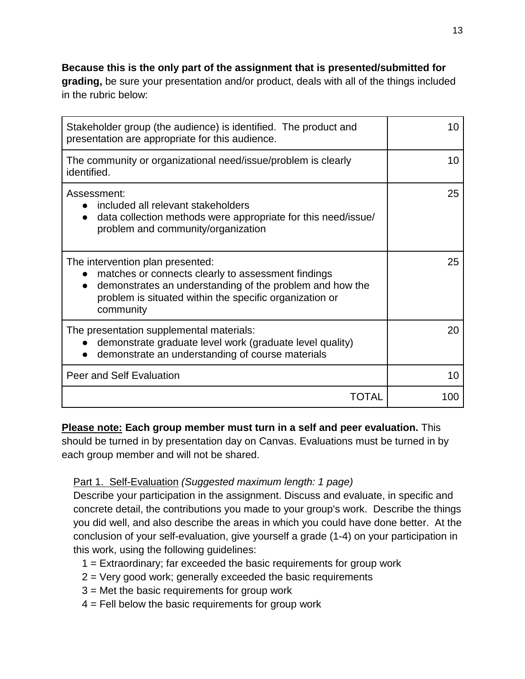### **Because this is the only part of the assignment that is presented/submitted for grading,** be sure your presentation and/or product, deals with all of the things included

in the rubric below:

| Stakeholder group (the audience) is identified. The product and<br>presentation are appropriate for this audience.                                                                                                                                   | 10  |
|------------------------------------------------------------------------------------------------------------------------------------------------------------------------------------------------------------------------------------------------------|-----|
| The community or organizational need/issue/problem is clearly<br>identified.                                                                                                                                                                         | 10  |
| Assessment:<br>included all relevant stakeholders<br>$\bullet$<br>data collection methods were appropriate for this need/issue/<br>$\bullet$<br>problem and community/organization                                                                   | 25  |
| The intervention plan presented:<br>matches or connects clearly to assessment findings<br>$\bullet$<br>demonstrates an understanding of the problem and how the<br>$\bullet$<br>problem is situated within the specific organization or<br>community | 25  |
| The presentation supplemental materials:<br>demonstrate graduate level work (graduate level quality)<br>demonstrate an understanding of course materials                                                                                             | 20  |
| Peer and Self Evaluation                                                                                                                                                                                                                             | 10  |
| TOTAL                                                                                                                                                                                                                                                | 100 |

**Please note: Each group member must turn in a self and peer evaluation.** This should be turned in by presentation day on Canvas. Evaluations must be turned in by each group member and will not be shared.

## Part 1. Self-Evaluation *(Suggested maximum length: 1 page)*

Describe your participation in the assignment. Discuss and evaluate, in specific and concrete detail, the contributions you made to your group's work. Describe the things you did well, and also describe the areas in which you could have done better. At the conclusion of your self-evaluation, give yourself a grade (1-4) on your participation in this work, using the following guidelines:

- 1 = Extraordinary; far exceeded the basic requirements for group work
- 2 = Very good work; generally exceeded the basic requirements
- 3 = Met the basic requirements for group work
- $4$  = Fell below the basic requirements for group work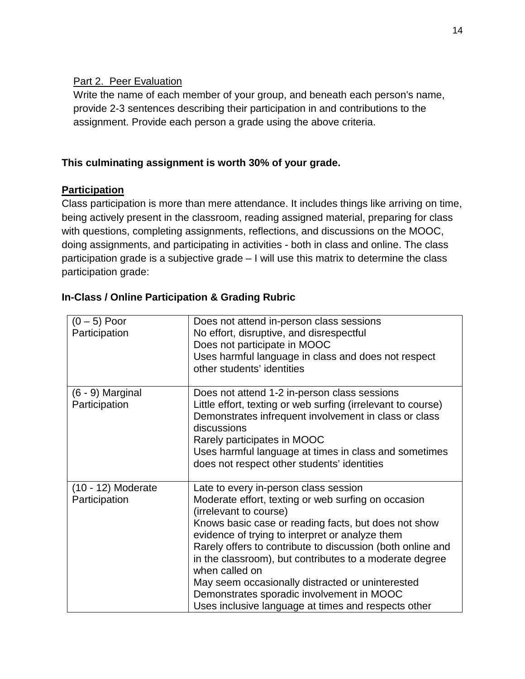### Part 2. Peer Evaluation

Write the name of each member of your group, and beneath each person's name, provide 2-3 sentences describing their participation in and contributions to the assignment. Provide each person a grade using the above criteria.

### **This culminating assignment is worth 30% of your grade.**

#### **Participation**

Class participation is more than mere attendance. It includes things like arriving on time, being actively present in the classroom, reading assigned material, preparing for class with questions, completing assignments, reflections, and discussions on the MOOC, doing assignments, and participating in activities - both in class and online. The class participation grade is a subjective grade – I will use this matrix to determine the class participation grade:

| $(0 - 5)$ Poor<br>Participation       | Does not attend in-person class sessions<br>No effort, disruptive, and disrespectful<br>Does not participate in MOOC<br>Uses harmful language in class and does not respect<br>other students' identities                                                                                                                                                                                                                                                                                                                            |
|---------------------------------------|--------------------------------------------------------------------------------------------------------------------------------------------------------------------------------------------------------------------------------------------------------------------------------------------------------------------------------------------------------------------------------------------------------------------------------------------------------------------------------------------------------------------------------------|
| $(6 - 9)$ Marginal<br>Participation   | Does not attend 1-2 in-person class sessions<br>Little effort, texting or web surfing (irrelevant to course)<br>Demonstrates infrequent involvement in class or class<br>discussions<br>Rarely participates in MOOC<br>Uses harmful language at times in class and sometimes<br>does not respect other students' identities                                                                                                                                                                                                          |
| $(10 - 12)$ Moderate<br>Participation | Late to every in-person class session<br>Moderate effort, texting or web surfing on occasion<br>(irrelevant to course)<br>Knows basic case or reading facts, but does not show<br>evidence of trying to interpret or analyze them<br>Rarely offers to contribute to discussion (both online and<br>in the classroom), but contributes to a moderate degree<br>when called on<br>May seem occasionally distracted or uninterested<br>Demonstrates sporadic involvement in MOOC<br>Uses inclusive language at times and respects other |

#### **In-Class / Online Participation & Grading Rubric**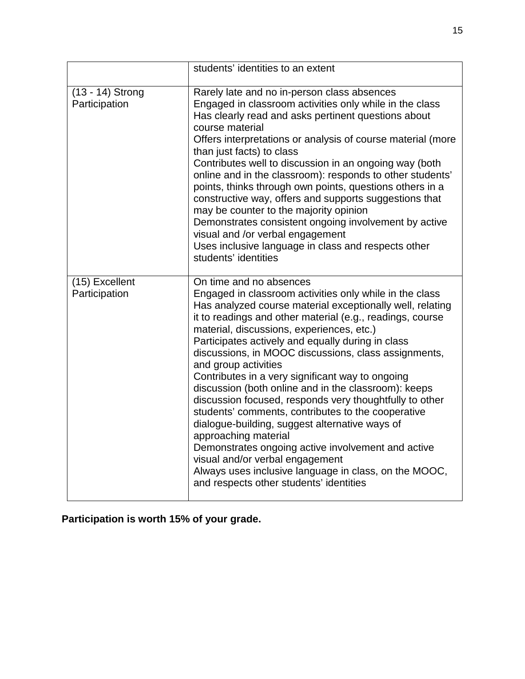|                                   | students' identities to an extent                                                                                                                                                                                                                                                                                                                                                                                                                                                                                                                                                                                                                                                                                                                                                                                                                                                                  |
|-----------------------------------|----------------------------------------------------------------------------------------------------------------------------------------------------------------------------------------------------------------------------------------------------------------------------------------------------------------------------------------------------------------------------------------------------------------------------------------------------------------------------------------------------------------------------------------------------------------------------------------------------------------------------------------------------------------------------------------------------------------------------------------------------------------------------------------------------------------------------------------------------------------------------------------------------|
| (13 - 14) Strong<br>Participation | Rarely late and no in-person class absences<br>Engaged in classroom activities only while in the class<br>Has clearly read and asks pertinent questions about<br>course material<br>Offers interpretations or analysis of course material (more<br>than just facts) to class<br>Contributes well to discussion in an ongoing way (both<br>online and in the classroom): responds to other students'<br>points, thinks through own points, questions others in a<br>constructive way, offers and supports suggestions that<br>may be counter to the majority opinion<br>Demonstrates consistent ongoing involvement by active<br>visual and /or verbal engagement<br>Uses inclusive language in class and respects other<br>students' identities                                                                                                                                                    |
| (15) Excellent<br>Participation   | On time and no absences<br>Engaged in classroom activities only while in the class<br>Has analyzed course material exceptionally well, relating<br>it to readings and other material (e.g., readings, course<br>material, discussions, experiences, etc.)<br>Participates actively and equally during in class<br>discussions, in MOOC discussions, class assignments,<br>and group activities<br>Contributes in a very significant way to ongoing<br>discussion (both online and in the classroom): keeps<br>discussion focused, responds very thoughtfully to other<br>students' comments, contributes to the cooperative<br>dialogue-building, suggest alternative ways of<br>approaching material<br>Demonstrates ongoing active involvement and active<br>visual and/or verbal engagement<br>Always uses inclusive language in class, on the MOOC,<br>and respects other students' identities |

**Participation is worth 15% of your grade.**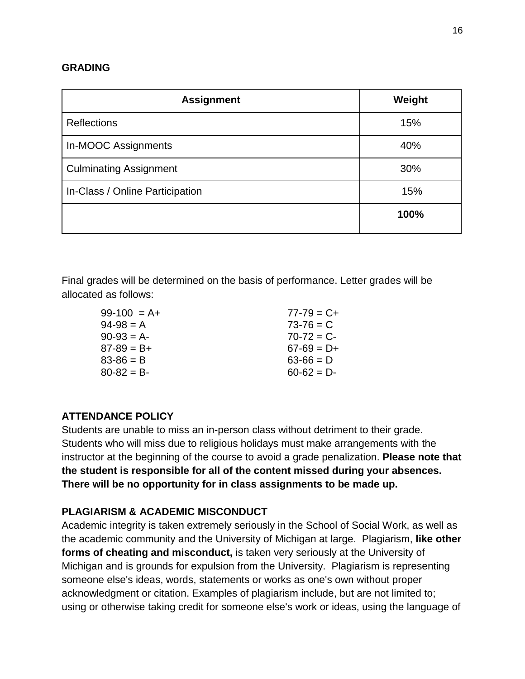#### **GRADING**

| <b>Assignment</b>               | Weight |
|---------------------------------|--------|
| <b>Reflections</b>              | 15%    |
| In-MOOC Assignments             | 40%    |
| <b>Culminating Assignment</b>   | 30%    |
| In-Class / Online Participation | 15%    |
|                                 | 100%   |

Final grades will be determined on the basis of performance. Letter grades will be allocated as follows:

| $99-100 = A+$   | $77 - 79 = C +$ |
|-----------------|-----------------|
| $94 - 98 = A$   | $73 - 76 = C$   |
| $90-93 = A-$    | $70-72 = C$     |
| $87-89 = B+$    | $67-69 = D+$    |
| $83 - 86 = B$   | $63 - 66 = D$   |
| $80 - 82 = B -$ | $60 - 62 = D -$ |

### **ATTENDANCE POLICY**

Students are unable to miss an in-person class without detriment to their grade. Students who will miss due to religious holidays must make arrangements with the instructor at the beginning of the course to avoid a grade penalization. **Please note that the student is responsible for all of the content missed during your absences. There will be no opportunity for in class assignments to be made up.** 

### **PLAGIARISM & ACADEMIC MISCONDUCT**

Academic integrity is taken extremely seriously in the School of Social Work, as well as the academic community and the University of Michigan at large. Plagiarism, **like other forms of cheating and misconduct,** is taken very seriously at the University of Michigan and is grounds for expulsion from the University. Plagiarism is representing someone else's ideas, words, statements or works as one's own without proper acknowledgment or citation. Examples of plagiarism include, but are not limited to; using or otherwise taking credit for someone else's work or ideas, using the language of